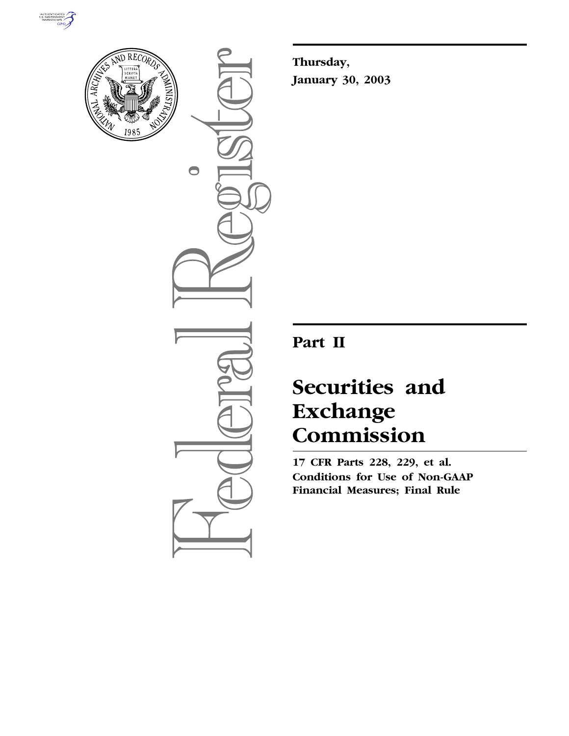



 $\bigcirc$ 

**Thursday, January 30, 2003**

**Part II**

# **Securities and Exchange Commission**

**17 CFR Parts 228, 229, et al. Conditions for Use of Non-GAAP Financial Measures; Final Rule**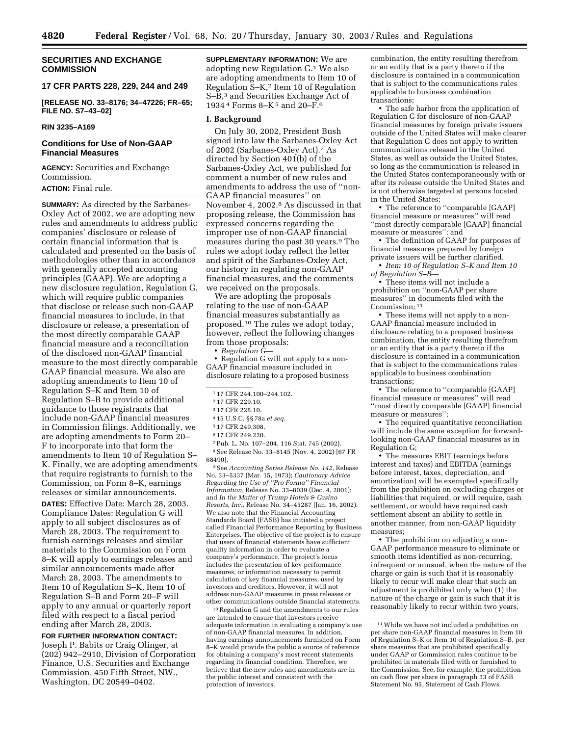# **SECURITIES AND EXCHANGE COMMISSION**

# **17 CFR PARTS 228, 229, 244 and 249**

**[RELEASE NO. 33–8176; 34–47226; FR–65; FILE NO. S7–43–02]** 

#### **RIN 3235–A169**

# **Conditions for Use of Non-GAAP Financial Measures**

**AGENCY:** Securities and Exchange Commission.

# **ACTION:** Final rule.

**SUMMARY:** As directed by the Sarbanes-Oxley Act of 2002, we are adopting new rules and amendments to address public companies' disclosure or release of certain financial information that is calculated and presented on the basis of methodologies other than in accordance with generally accepted accounting principles (GAAP). We are adopting a new disclosure regulation, Regulation G, which will require public companies that disclose or release such non-GAAP financial measures to include, in that disclosure or release, a presentation of the most directly comparable GAAP financial measure and a reconciliation of the disclosed non-GAAP financial measure to the most directly comparable GAAP financial measure. We also are adopting amendments to Item 10 of Regulation S–K and Item 10 of Regulation S–B to provide additional guidance to those registrants that include non-GAAP financial measures in Commission filings. Additionally, we are adopting amendments to Form 20– F to incorporate into that form the amendments to Item 10 of Regulation S– K. Finally, we are adopting amendments that require registrants to furnish to the Commission, on Form 8–K, earnings releases or similar announcements.

**DATES:** Effective Date: March 28, 2003. Compliance Dates: Regulation G will apply to all subject disclosures as of March 28, 2003. The requirement to furnish earnings releases and similar materials to the Commission on Form 8–K will apply to earnings releases and similar announcements made after March 28, 2003. The amendments to Item 10 of Regulation S–K, Item 10 of Regulation S–B and Form 20–F will apply to any annual or quarterly report filed with respect to a fiscal period ending after March 28, 2003.

# **FOR FURTHER INFORMATION CONTACT:**

Joseph P. Babits or Craig Olinger, at (202) 942–2910, Division of Corporation Finance, U.S. Securities and Exchange Commission, 450 Fifth Street, NW., Washington, DC 20549–0402.

**SUPPLEMENTARY INFORMATION:** We are adopting new Regulation G.1 We also are adopting amendments to Item 10 of Regulation S–K,2 Item 10 of Regulation S–B,<sup>3</sup> and Securities Exchange Act of 1934 4 Forms 8–K 5 and 20–F.6

#### **I. Background**

On July 30, 2002, President Bush signed into law the Sarbanes-Oxley Act of 2002 (Sarbanes-Oxley Act).7 As directed by Section 401(b) of the Sarbanes-Oxley Act, we published for comment a number of new rules and amendments to address the use of ''non-GAAP financial measures'' on November 4, 2002.8 As discussed in that proposing release, the Commission has expressed concerns regarding the improper use of non-GAAP financial measures during the past 30 years.9 The rules we adopt today reflect the letter and spirit of the Sarbanes-Oxley Act, our history in regulating non-GAAP financial measures, and the comments we received on the proposals.

We are adopting the proposals relating to the use of non-GAAP financial measures substantially as proposed.10 The rules we adopt today, however, reflect the following changes from those proposals:

• *Regulation G*—

• Regulation G will not apply to a non-GAAP financial measure included in disclosure relating to a proposed business

7Pub. L. No. 107–204, 116 Stat. 745 (2002). 8See Release No. 33–8145 (Nov. 4, 2002) [67 FR 68490].

9See *Accounting Series Release No. 142,* Release No. 33–5337 (Mar. 15, 1973); *Cautionary Advice Regarding the Use of ''Pro Forma'' Financial Information,* Release No. 33–8039 (Dec. 4, 2001); and *In the Matter of Trump Hotels & Casino Resorts, Inc.,* Release No. 34–45287 (Jan. 16, 2002). We also note that the Financial Accounting Standards Board (FASB) has initiated a project called Financial Performance Reporting by Business Enterprises. The objective of the project is to ensure that users of financial statements have sufficient quality information in order to evaluate a company's performance. The project's focus includes the presentation of key performance measures, or information necessary to permit calculation of key financial measures, used by investors and creditors. However, it will not address non-GAAP measures in press releases or other communications outside financial statements.

10Regulation G and the amendments to our rules are intended to ensure that investors receive adequate information in evaluating a company's use of non-GAAP financial measures. In addition, having earnings announcements furnished on Form 8–K would provide the public a source of reference for obtaining a company's most recent statements regarding its financial condition. Therefore, we believe that the new rules and amendments are in the public interest and consistent with the protection of investors.

combination, the entity resulting therefrom or an entity that is a party thereto if the disclosure is contained in a communication that is subject to the communications rules applicable to business combination transactions;

• The safe harbor from the application of Regulation G for disclosure of non-GAAP financial measures by foreign private issuers outside of the United States will make clearer that Regulation G does not apply to written communications released in the United States, as well as outside the United States, so long as the communication is released in the United States contemporaneously with or after its release outside the United States and is not otherwise targeted at persons located in the United States;

• The reference to ''comparable [GAAP] financial measure or measures'' will read ''most directly comparable [GAAP] financial measure or measures''; and

• The definition of GAAP for purposes of financial measures prepared by foreign private issuers will be further clarified.

• *Item 10 of Regulation S–K and Item 10 of Regulation S–B*—

• These items will not include a prohibition on ''non-GAAP per share measures'' in documents filed with the Commission; 11

• These items will not apply to a non-GAAP financial measure included in disclosure relating to a proposed business combination, the entity resulting therefrom or an entity that is a party thereto if the disclosure is contained in a communication that is subject to the communications rules applicable to business combination transactions;

• The reference to ''comparable [GAAP] financial measure or measures'' will read ''most directly comparable [GAAP] financial measure or measures'';

• The required quantitative reconciliation will include the same exception for forwardlooking non-GAAP financial measures as in Regulation G;

• The measures EBIT (earnings before interest and taxes) and EBITDA (earnings before interest, taxes, depreciation, and amortization) will be exempted specifically from the prohibition on excluding charges or liabilities that required, or will require, cash settlement, or would have required cash settlement absent an ability to settle in another manner, from non-GAAP liquidity measures;

• The prohibition on adjusting a non-GAAP performance measure to eliminate or smooth items identified as non-recurring, infrequent or unusual, when the nature of the charge or gain is such that it is reasonably likely to recur will make clear that such an adjustment is prohibited only when (1) the nature of the charge or gain is such that it is reasonably likely to recur within two years,

<sup>1</sup> 17 CFR 244.100–244.102.

<sup>2</sup> 17 CFR 229.10.

<sup>3</sup> 17 CFR 228.10.

<sup>4</sup> 15 U.S.C. §§ 78a *et seq.*

<sup>5</sup> 17 CFR 249.308.

<sup>6</sup> 17 CFR 249.220.

<sup>11</sup>While we have not included a prohibition on per share non-GAAP financial measures in Item 10 of Regulation S–K or Item 10 of Regulation S–B, per share measures that are prohibited specifically under GAAP or Commission rules continue to be prohibited in materials filed with or furnished to the Commission. See, for example, the prohibition on cash flow per share in paragraph 33 of FASB Statement No. 95, Statement of Cash Flows.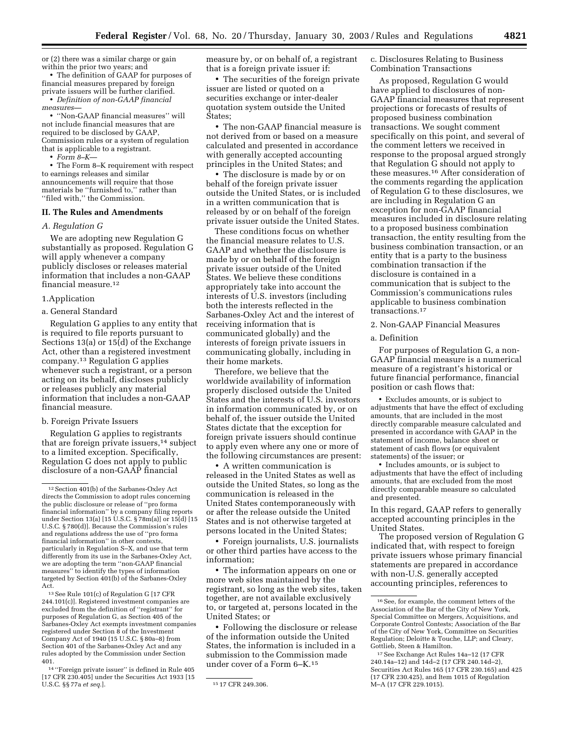or (2) there was a similar charge or gain within the prior two years; and

• The definition of GAAP for purposes of financial measures prepared by foreign private issuers will be further clarified.

• *Definition of non-GAAP financial measures—*

• ''Non-GAAP financial measures'' will not include financial measures that are required to be disclosed by GAAP, Commission rules or a system of regulation that is applicable to a registrant.

• *Form 8–K*—

• The Form 8–K requirement with respect to earnings releases and similar announcements will require that those materials be "furnished to," rather than ''filed with,'' the Commission.

# **II. The Rules and Amendments**

# *A. Regulation G*

We are adopting new Regulation G substantially as proposed. Regulation G will apply whenever a company publicly discloses or releases material information that includes a non-GAAP financial measure.12

#### 1.Application

#### a. General Standard

Regulation G applies to any entity that is required to file reports pursuant to Sections 13(a) or 15(d) of the Exchange Act, other than a registered investment company.13 Regulation G applies whenever such a registrant, or a person acting on its behalf, discloses publicly or releases publicly any material information that includes a non-GAAP financial measure.

#### b. Foreign Private Issuers

Regulation G applies to registrants that are foreign private issuers,<sup>14</sup> subject to a limited exception. Specifically, Regulation G does not apply to public disclosure of a non-GAAP financial

13See Rule 101(c) of Regulation G [17 CFR 244.101(c)]. Registered investment companies are excluded from the definition of ''registrant'' for purposes of Regulation G, as Section 405 of the Sarbanes-Oxley Act exempts investment companies registered under Section 8 of the Investment Company Act of 1940 (15 U.S.C. § 80a–8) from Section 401 of the Sarbanes-Oxley Act and any rules adopted by the Commission under Section 401.

14 ''Foreign private issuer'' is defined in Rule 405 [17 CFR 230.405] under the Securities Act 1933 [15 U.S.C. §§ 77a *et seq.*]. 15 17 CFR 249.306.

measure by, or on behalf of, a registrant that is a foreign private issuer if:

• The securities of the foreign private issuer are listed or quoted on a securities exchange or inter-dealer quotation system outside the United States;

• The non-GAAP financial measure is not derived from or based on a measure calculated and presented in accordance with generally accepted accounting principles in the United States; and

• The disclosure is made by or on behalf of the foreign private issuer outside the United States, or is included in a written communication that is released by or on behalf of the foreign private issuer outside the United States.

These conditions focus on whether the financial measure relates to U.S. GAAP and whether the disclosure is made by or on behalf of the foreign private issuer outside of the United States. We believe these conditions appropriately take into account the interests of U.S. investors (including both the interests reflected in the Sarbanes-Oxley Act and the interest of receiving information that is communicated globally) and the interests of foreign private issuers in communicating globally, including in their home markets.

Therefore, we believe that the worldwide availability of information properly disclosed outside the United States and the interests of U.S. investors in information communicated by, or on behalf of, the issuer outside the United States dictate that the exception for foreign private issuers should continue to apply even where any one or more of the following circumstances are present:

• A written communication is released in the United States as well as outside the United States, so long as the communication is released in the United States contemporaneously with or after the release outside the United States and is not otherwise targeted at persons located in the United States;

• Foreign journalists, U.S. journalists or other third parties have access to the information;

• The information appears on one or more web sites maintained by the registrant, so long as the web sites, taken together, are not available exclusively to, or targeted at, persons located in the United States; or

• Following the disclosure or release of the information outside the United States, the information is included in a submission to the Commission made under cover of a Form 6–K.15

c. Disclosures Relating to Business Combination Transactions

As proposed, Regulation G would have applied to disclosures of non-GAAP financial measures that represent projections or forecasts of results of proposed business combination transactions. We sought comment specifically on this point, and several of the comment letters we received in response to the proposal argued strongly that Regulation G should not apply to these measures.16 After consideration of the comments regarding the application of Regulation G to these disclosures, we are including in Regulation G an exception for non-GAAP financial measures included in disclosure relating to a proposed business combination transaction, the entity resulting from the business combination transaction, or an entity that is a party to the business combination transaction if the disclosure is contained in a communication that is subject to the Commission's communications rules applicable to business combination transactions.17

# 2. Non-GAAP Financial Measures

# a. Definition

For purposes of Regulation G, a non-GAAP financial measure is a numerical measure of a registrant's historical or future financial performance, financial position or cash flows that:

• Excludes amounts, or is subject to adjustments that have the effect of excluding amounts, that are included in the most directly comparable measure calculated and presented in accordance with GAAP in the statement of income, balance sheet or statement of cash flows (or equivalent statements) of the issuer; or

• Includes amounts, or is subject to adjustments that have the effect of including amounts, that are excluded from the most directly comparable measure so calculated and presented.

In this regard, GAAP refers to generally accepted accounting principles in the United States.

The proposed version of Regulation G indicated that, with respect to foreign private issuers whose primary financial statements are prepared in accordance with non-U.S. generally accepted accounting principles, references to

<sup>12</sup>Section 401(b) of the Sarbanes-Oxley Act directs the Commission to adopt rules concerning the public disclosure or release of ''pro forma financial information'' by a company filing reports under Section 13(a) [15 U.S.C. § 78m(a)] or 15(d) [15 U.S.C. § 780(d)]. Because the Commission's rules and regulations address the use of ''pro forma financial information'' in other contexts, particularly in Regulation S–X, and use that term differently from its use in the Sarbanes-Oxley Act, we are adopting the term ''non-GAAP financial measures'' to identify the types of information targeted by Section 401(b) of the Sarbanes-Oxley Act.

 $^{\rm 16}$  See, for example, the comment letters of the Association of the Bar of the City of New York, Special Committee on Mergers, Acquisitions, and Corporate Control Contests; Association of the Bar of the City of New York, Committee on Securities Regulation; Deloitte & Touche, LLP; and Cleary, Gottlieb, Steen & Hamilton.

<sup>17</sup>See Exchange Act Rules 14a–12 (17 CFR 240.14a–12) and 14d–2 (17 CFR 240.14d–2), Securities Act Rules 165 (17 CFR 230.165) and 425 (17 CFR 230.425), and Item 1015 of Regulation M–A (17 CFR 229.1015).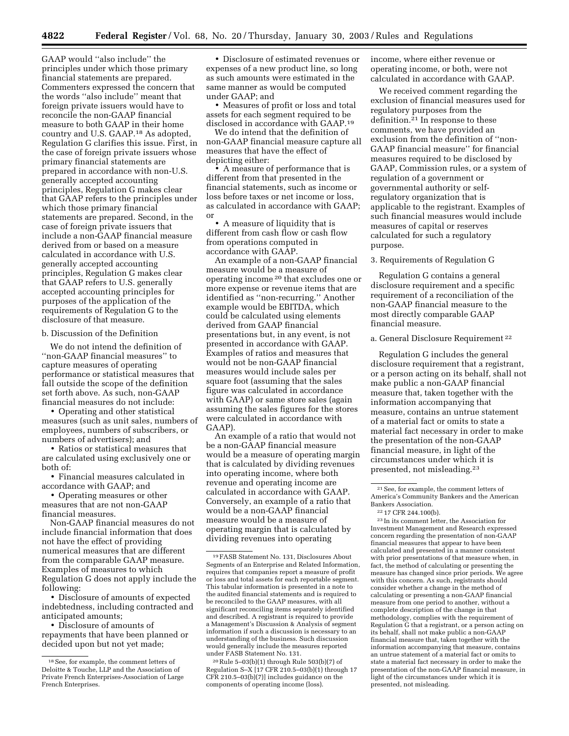GAAP would ''also include'' the principles under which those primary financial statements are prepared. Commenters expressed the concern that the words ''also include'' meant that foreign private issuers would have to reconcile the non-GAAP financial measure to both GAAP in their home country and U.S. GAAP.18 As adopted, Regulation G clarifies this issue. First, in the case of foreign private issuers whose primary financial statements are prepared in accordance with non-U.S. generally accepted accounting principles, Regulation G makes clear that GAAP refers to the principles under which those primary financial statements are prepared. Second, in the case of foreign private issuers that include a non-GAAP financial measure derived from or based on a measure calculated in accordance with U.S. generally accepted accounting principles, Regulation G makes clear that GAAP refers to U.S. generally accepted accounting principles for purposes of the application of the requirements of Regulation G to the disclosure of that measure.

#### b. Discussion of the Definition

We do not intend the definition of ''non-GAAP financial measures'' to capture measures of operating performance or statistical measures that fall outside the scope of the definition set forth above. As such, non-GAAP financial measures do not include:

• Operating and other statistical measures (such as unit sales, numbers of employees, numbers of subscribers, or numbers of advertisers); and

• Ratios or statistical measures that are calculated using exclusively one or both of:

• Financial measures calculated in accordance with GAAP; and

• Operating measures or other measures that are not non-GAAP financial measures.

Non-GAAP financial measures do not include financial information that does not have the effect of providing numerical measures that are different from the comparable GAAP measure. Examples of measures to which Regulation G does not apply include the following:

• Disclosure of amounts of expected indebtedness, including contracted and anticipated amounts;

• Disclosure of amounts of repayments that have been planned or decided upon but not yet made;

• Disclosure of estimated revenues or expenses of a new product line, so long as such amounts were estimated in the same manner as would be computed under GAAP; and

• Measures of profit or loss and total assets for each segment required to be disclosed in accordance with GAAP.19

We do intend that the definition of non-GAAP financial measure capture all measures that have the effect of depicting either:

• A measure of performance that is different from that presented in the financial statements, such as income or loss before taxes or net income or loss, as calculated in accordance with GAAP; or

• A measure of liquidity that is different from cash flow or cash flow from operations computed in accordance with GAAP.

An example of a non-GAAP financial measure would be a measure of operating income 20 that excludes one or more expense or revenue items that are identified as ''non-recurring.'' Another example would be EBITDA, which could be calculated using elements derived from GAAP financial presentations but, in any event, is not presented in accordance with GAAP. Examples of ratios and measures that would not be non-GAAP financial measures would include sales per square foot (assuming that the sales figure was calculated in accordance with GAAP) or same store sales (again assuming the sales figures for the stores were calculated in accordance with GAAP).

An example of a ratio that would not be a non-GAAP financial measure would be a measure of operating margin that is calculated by dividing revenues into operating income, where both revenue and operating income are calculated in accordance with GAAP. Conversely, an example of a ratio that would be a non-GAAP financial measure would be a measure of operating margin that is calculated by dividing revenues into operating

income, where either revenue or operating income, or both, were not calculated in accordance with GAAP.

We received comment regarding the exclusion of financial measures used for regulatory purposes from the definition.21 In response to these comments, we have provided an exclusion from the definition of ''non-GAAP financial measure'' for financial measures required to be disclosed by GAAP, Commission rules, or a system of regulation of a government or governmental authority or selfregulatory organization that is applicable to the registrant. Examples of such financial measures would include measures of capital or reserves calculated for such a regulatory purpose.

3. Requirements of Regulation G

Regulation G contains a general disclosure requirement and a specific requirement of a reconciliation of the non-GAAP financial measure to the most directly comparable GAAP financial measure.

a. General Disclosure Requirement 22

Regulation G includes the general disclosure requirement that a registrant, or a person acting on its behalf, shall not make public a non-GAAP financial measure that, taken together with the information accompanying that measure, contains an untrue statement of a material fact or omits to state a material fact necessary in order to make the presentation of the non-GAAP financial measure, in light of the circumstances under which it is presented, not misleading.23

 $^{\rm 23}$  In its comment letter, the Association for Investment Management and Research expressed concern regarding the presentation of non-GAAP financial measures that appear to have been calculated and presented in a manner consistent with prior presentations of that measure when, in fact, the method of calculating or presenting the measure has changed since prior periods. We agree with this concern. As such, registrants should consider whether a change in the method of calculating or presenting a non-GAAP financial measure from one period to another, without a complete description of the change in that methodology, complies with the requirement of Regulation G that a registrant, or a person acting on its behalf, shall not make public a non-GAAP financial measure that, taken together with the information accompanying that measure, contains an untrue statement of a material fact or omits to state a material fact necessary in order to make the presentation of the non-GAAP financial measure, in light of the circumstances under which it is presented, not misleading.

<sup>18</sup>See, for example, the comment letters of Deloitte & Touche, LLP and the Association of Private French Enterprises-Association of Large French Enterprises.

<sup>19</sup>FASB Statement No. 131, Disclosures About Segments of an Enterprise and Related Information, requires that companies report a measure of profit or loss and total assets for each reportable segment. This tabular information is presented in a note to the audited financial statements and is required to be reconciled to the GAAP measures, with all significant reconciling items separately identified and described. A registrant is required to provide a Management's Discussion & Analysis of segment information if such a discussion is necessary to an understanding of the business. Such discussion would generally include the measures reported under FASB Statement No. 131.

<sup>20</sup>Rule 5–03(b)(1) through Rule 503(b)(7) of Regulation S–X [17 CFR 210.5–03(b)(1) through 17 CFR 210.5–03(b)(7)] includes guidance on the components of operating income (loss).

<sup>21</sup>See, for example, the comment letters of America's Community Bankers and the American Bankers Association.

<sup>22</sup> 17 CFR 244.100(b).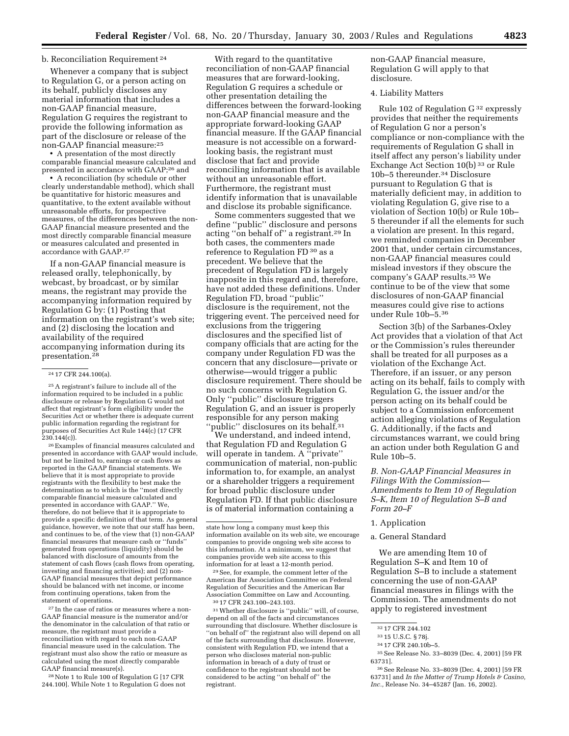#### b. Reconciliation Requirement 24

Whenever a company that is subject to Regulation G, or a person acting on its behalf, publicly discloses any material information that includes a non-GAAP financial measure, Regulation G requires the registrant to provide the following information as part of the disclosure or release of the non-GAAP financial measure:25

• A presentation of the most directly comparable financial measure calculated and presented in accordance with GAAP;26 and

• A reconciliation (by schedule or other clearly understandable method), which shall be quantitative for historic measures and quantitative, to the extent available without unreasonable efforts, for prospective measures, of the differences between the non-GAAP financial measure presented and the most directly comparable financial measure or measures calculated and presented in accordance with GAAP.27

If a non-GAAP financial measure is released orally, telephonically, by webcast, by broadcast, or by similar means, the registrant may provide the accompanying information required by Regulation G by: (1) Posting that information on the registrant's web site; and (2) disclosing the location and availability of the required accompanying information during its presentation.28

25A registrant's failure to include all of the information required to be included in a public disclosure or release by Regulation G would not affect that registrant's form eligibility under the Securities Act or whether there is adequate current public information regarding the registrant for purposes of Securities Act Rule 144(c) (17 CFR  $230.144(c)$ 

26Examples of financial measures calculated and presented in accordance with GAAP would include, but not be limited to, earnings or cash flows as reported in the GAAP financial statements. We believe that it is most appropriate to provide registrants with the flexibility to best make the determination as to which is the ''most directly comparable financial measure calculated and presented in accordance with GAAP.'' We, therefore, do not believe that it is appropriate to provide a specific definition of that term. As general guidance, however, we note that our staff has been, and continues to be, of the view that (1) non-GAAP financial measures that measure cash or ''funds'' generated from operations (liquidity) should be balanced with disclosure of amounts from the statement of cash flows (cash flows from operating, investing and financing activities); and (2) non-GAAP financial measures that depict performance should be balanced with net income, or income from continuing operations, taken from the statement of operations.

27 In the case of ratios or measures where a non-GAAP financial measure is the numerator and/or the denominator in the calculation of that ratio or measure, the registrant must provide a reconciliation with regard to each non-GAAP financial measure used in the calculation. The registrant must also show the ratio or measure as calculated using the most directly comparable GAAP financial measure(s).

28Note 1 to Rule 100 of Regulation G [17 CFR 244.100]. While Note 1 to Regulation G does not

With regard to the quantitative reconciliation of non-GAAP financial measures that are forward-looking, Regulation G requires a schedule or other presentation detailing the differences between the forward-looking non-GAAP financial measure and the appropriate forward-looking GAAP financial measure. If the GAAP financial measure is not accessible on a forwardlooking basis, the registrant must disclose that fact and provide reconciling information that is available without an unreasonable effort. Furthermore, the registrant must identify information that is unavailable and disclose its probable significance.

Some commenters suggested that we define ''public'' disclosure and persons acting ''on behalf of'' a registrant.29 In both cases, the commenters made reference to Regulation FD 30 as a precedent. We believe that the precedent of Regulation FD is largely inapposite in this regard and, therefore, have not added these definitions. Under Regulation FD, broad ''public'' disclosure is the requirement, not the triggering event. The perceived need for exclusions from the triggering disclosures and the specified list of company officials that are acting for the company under Regulation FD was the concern that any disclosure—private or otherwise—would trigger a public disclosure requirement. There should be no such concerns with Regulation G. Only ''public'' disclosure triggers Regulation G, and an issuer is properly responsible for any person making 'public'' disclosures on its behalf.<sup>31</sup>

We understand, and indeed intend, that Regulation FD and Regulation G will operate in tandem. A "private" communication of material, non-public information to, for example, an analyst or a shareholder triggers a requirement for broad public disclosure under Regulation FD. If that public disclosure is of material information containing a

29See, for example, the comment letter of the American Bar Association Committee on Federal Regulation of Securities and the American Bar Association Committee on Law and Accounting. 30 17 CFR 243.100–243.103.

31Whether disclosure is ''public'' will, of course, depend on all of the facts and circumstances surrounding that disclosure. Whether disclosure is ''on behalf of'' the registrant also will depend on all of the facts surrounding that disclosure. However, consistent with Regulation FD, we intend that a person who discloses material non-public information in breach of a duty of trust or confidence to the registrant should not be considered to be acting ''on behalf of'' the registrant.

non-GAAP financial measure, Regulation G will apply to that disclosure.

#### 4. Liability Matters

Rule 102 of Regulation G 32 expressly provides that neither the requirements of Regulation G nor a person's compliance or non-compliance with the requirements of Regulation G shall in itself affect any person's liability under Exchange Act Section 10(b) 33 or Rule 10b–5 thereunder.34 Disclosure pursuant to Regulation G that is materially deficient may, in addition to violating Regulation G, give rise to a violation of Section 10(b) or Rule 10b– 5 thereunder if all the elements for such a violation are present. In this regard, we reminded companies in December 2001 that, under certain circumstances, non-GAAP financial measures could mislead investors if they obscure the company's GAAP results.35 We continue to be of the view that some disclosures of non-GAAP financial measures could give rise to actions under Rule 10b–5.36

Section 3(b) of the Sarbanes-Oxley Act provides that a violation of that Act or the Commission's rules thereunder shall be treated for all purposes as a violation of the Exchange Act. Therefore, if an issuer, or any person acting on its behalf, fails to comply with Regulation G, the issuer and/or the person acting on its behalf could be subject to a Commission enforcement action alleging violations of Regulation G. Additionally, if the facts and circumstances warrant, we could bring an action under both Regulation G and Rule 10b–5.

*B. Non-GAAP Financial Measures in Filings With the Commission— Amendments to Item 10 of Regulation S–K, Item 10 of Regulation S–B and Form 20–F* 

#### 1. Application

We are amending Item 10 of Regulation S–K and Item 10 of Regulation S–B to include a statement concerning the use of non-GAAP financial measures in filings with the Commission. The amendments do not apply to registered investment

<sup>24</sup> 17 CFR 244.100(a).

state how long a company must keep this information available on its web site, we encourage companies to provide ongoing web site access to this information. At a minimum, we suggest that companies provide web site access to this information for at least a 12-month period.

a. General Standard

<sup>32</sup> 17 CFR 244.102

<sup>33</sup> 15 U.S.C. § 78j.

<sup>34</sup> 17 CFR 240.10b–5.

<sup>35</sup>See Release No. 33–8039 (Dec. 4, 2001) [59 FR 63731].

<sup>36</sup>See Release No. 33–8039 (Dec. 4, 2001) [59 FR 63731] and *In the Matter of Trump Hotels & Casino, Inc.,* Release No. 34–45287 (Jan. 16, 2002).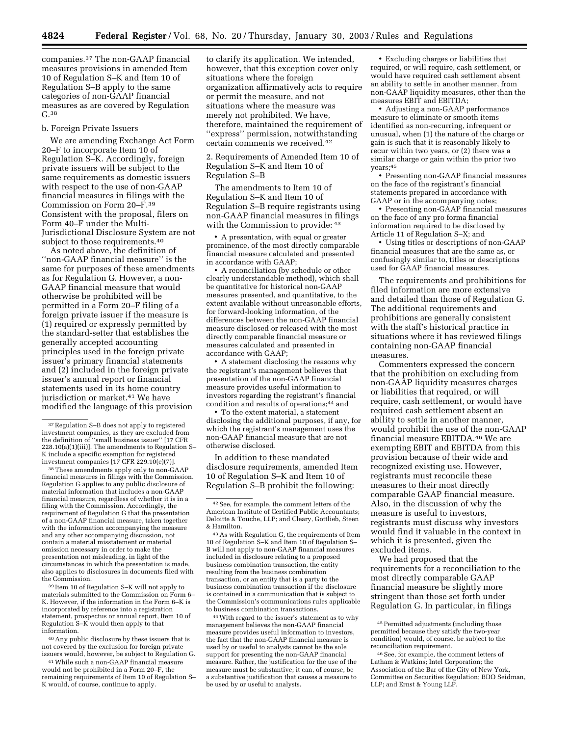companies.37 The non-GAAP financial measures provisions in amended Item 10 of Regulation S–K and Item 10 of Regulation S–B apply to the same categories of non-GAAP financial measures as are covered by Regulation G.38

# b. Foreign Private Issuers

We are amending Exchange Act Form 20–F to incorporate Item 10 of Regulation S–K. Accordingly, foreign private issuers will be subject to the same requirements as domestic issuers with respect to the use of non-GAAP financial measures in filings with the Commission on Form 20–F.39 Consistent with the proposal, filers on Form 40–F under the Multi-Jurisdictional Disclosure System are not subject to those requirements.<sup>40</sup>

As noted above, the definition of ''non-GAAP financial measure'' is the same for purposes of these amendments as for Regulation G. However, a non-GAAP financial measure that would otherwise be prohibited will be permitted in a Form 20–F filing of a foreign private issuer if the measure is (1) required or expressly permitted by the standard-setter that establishes the generally accepted accounting principles used in the foreign private issuer's primary financial statements and (2) included in the foreign private issuer's annual report or financial statements used in its home country jurisdiction or market.<sup>41</sup> We have modified the language of this provision

38These amendments apply only to non-GAAP financial measures in filings with the Commission. Regulation G applies to any public disclosure of material information that includes a non-GAAP financial measure, regardless of whether it is in a filing with the Commission. Accordingly, the requirement of Regulation G that the presentation of a non-GAAP financial measure, taken together with the information accompanying the measure and any other accompanying discussion, not contain a material misstatement or material omission necessary in order to make the presentation not misleading, in light of the circumstances in which the presentation is made, also applies to disclosures in documents filed with the Commission.

39 Item 10 of Regulation S–K will not apply to materials submitted to the Commission on Form 6– K. However, if the information in the Form 6–K is incorporated by reference into a registration statement, prospectus or annual report, Item 10 of Regulation S–K would then apply to that information.

40Any public disclosure by these issuers that is not covered by the exclusion for foreign private issuers would, however, be subject to Regulation G.

41While such a non-GAAP financial measure would not be prohibited in a Form 20–F, the remaining requirements of Item 10 of Regulation S– K would, of course, continue to apply.

to clarify its application. We intended, however, that this exception cover only situations where the foreign organization affirmatively acts to require or permit the measure, and not situations where the measure was merely not prohibited. We have, therefore, maintained the requirement of ''express'' permission, notwithstanding certain comments we received.42

# 2. Requirements of Amended Item 10 of Regulation S–K and Item 10 of Regulation S–B

The amendments to Item 10 of Regulation S–K and Item 10 of Regulation S–B require registrants using non-GAAP financial measures in filings with the Commission to provide:  $43$ 

• A presentation, with equal or greater prominence, of the most directly comparable financial measure calculated and presented in accordance with GAAP;

• A reconciliation (by schedule or other clearly understandable method), which shall be quantitative for historical non-GAAP measures presented, and quantitative, to the extent available without unreasonable efforts, for forward-looking information, of the differences between the non-GAAP financial measure disclosed or released with the most directly comparable financial measure or measures calculated and presented in accordance with GAAP;

• A statement disclosing the reasons why the registrant's management believes that presentation of the non-GAAP financial measure provides useful information to investors regarding the registrant's financial condition and results of operations;44 and

• To the extent material, a statement disclosing the additional purposes, if any, for which the registrant's management uses the non-GAAP financial measure that are not otherwise disclosed.

In addition to these mandated disclosure requirements, amended Item 10 of Regulation S–K and Item 10 of Regulation S–B prohibit the following:

44With regard to the issuer's statement as to why management believes the non-GAAP financial measure provides useful information to investors, the fact that the non-GAAP financial measure is used by or useful to analysts cannot be the sole support for presenting the non-GAAP financial measure. Rather, the justification for the use of the measure must be substantive; it can, of course, be a substantive justification that causes a measure to be used by or useful to analysts.

• Excluding charges or liabilities that required, or will require, cash settlement, or would have required cash settlement absent an ability to settle in another manner, from non-GAAP liquidity measures, other than the measures EBIT and EBITDA;

• Adjusting a non-GAAP performance measure to eliminate or smooth items identified as non-recurring, infrequent or unusual, when (1) the nature of the charge or gain is such that it is reasonably likely to recur within two years, or (2) there was a similar charge or gain within the prior two years;45

• Presenting non-GAAP financial measures on the face of the registrant's financial statements prepared in accordance with GAAP or in the accompanying notes;

• Presenting non-GAAP financial measures on the face of any pro forma financial information required to be disclosed by Article 11 of Regulation S–X; and

• Using titles or descriptions of non-GAAP financial measures that are the same as, or confusingly similar to, titles or descriptions used for GAAP financial measures.

The requirements and prohibitions for filed information are more extensive and detailed than those of Regulation G. The additional requirements and prohibitions are generally consistent with the staff's historical practice in situations where it has reviewed filings containing non-GAAP financial measures.

Commenters expressed the concern that the prohibition on excluding from non-GAAP liquidity measures charges or liabilities that required, or will require, cash settlement, or would have required cash settlement absent an ability to settle in another manner, would prohibit the use of the non-GAAP financial measure EBITDA.46 We are exempting EBIT and EBITDA from this provision because of their wide and recognized existing use. However, registrants must reconcile these measures to their most directly comparable GAAP financial measure. Also, in the discussion of why the measure is useful to investors, registrants must discuss why investors would find it valuable in the context in which it is presented, given the excluded items.

We had proposed that the requirements for a reconciliation to the most directly comparable GAAP financial measure be slightly more stringent than those set forth under Regulation G. In particular, in filings

<sup>37</sup>Regulation S–B does not apply to registered investment companies, as they are excluded from the definition of ''small business issuer'' [17 CFR 228.10(a)(1)(iii)]. The amendments to Regulation S– K include a specific exemption for registered investment companies  $[17 \text{ CFR } 229.10(e)(7)]$ .

<sup>42</sup>See, for example, the comment letters of the American Institute of Certified Public Accountants; Deloitte & Touche, LLP; and Cleary, Gottlieb, Steen & Hamilton.

<sup>43</sup>As with Regulation G, the requirements of Item 10 of Regulation S–K and Item 10 of Regulation S– B will not apply to non-GAAP financial measures included in disclosure relating to a proposed business combination transaction, the entity resulting from the business combination transaction, or an entity that is a party to the business combination transaction if the disclosure is contained in a communication that is subject to the Commission's communications rules applicable to business combination transactions.

<sup>45</sup>Permitted adjustments (including those permitted because they satisfy the two-year condition) would, of course, be subject to the reconciliation requirement.

<sup>46</sup>See, for example, the comment letters of Latham & Watkins; Intel Corporation; the Association of the Bar of the City of New York, Committee on Securities Regulation; BDO Seidman, LLP; and Ernst & Young LLP.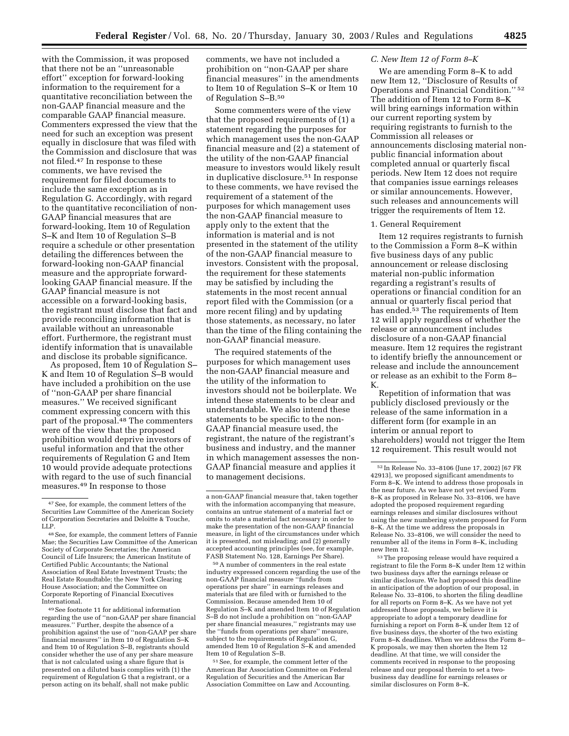with the Commission, it was proposed that there not be an ''unreasonable effort'' exception for forward-looking information to the requirement for a quantitative reconciliation between the non-GAAP financial measure and the comparable GAAP financial measure. Commenters expressed the view that the need for such an exception was present equally in disclosure that was filed with the Commission and disclosure that was not filed.47 In response to these comments, we have revised the requirement for filed documents to include the same exception as in Regulation G. Accordingly, with regard to the quantitative reconciliation of non-GAAP financial measures that are forward-looking, Item 10 of Regulation S–K and Item 10 of Regulation S–B require a schedule or other presentation detailing the differences between the forward-looking non-GAAP financial measure and the appropriate forwardlooking GAAP financial measure. If the GAAP financial measure is not accessible on a forward-looking basis, the registrant must disclose that fact and provide reconciling information that is available without an unreasonable effort. Furthermore, the registrant must identify information that is unavailable and disclose its probable significance.

As proposed, Item 10 of Regulation S– K and Item 10 of Regulation S–B would have included a prohibition on the use of ''non-GAAP per share financial measures.'' We received significant comment expressing concern with this part of the proposal.48 The commenters were of the view that the proposed prohibition would deprive investors of useful information and that the other requirements of Regulation G and Item 10 would provide adequate protections with regard to the use of such financial measures.49 In response to those

49See footnote 11 for additional information regarding the use of ''non-GAAP per share financial measures.'' Further, despite the absence of a prohibition against the use of ''non-GAAP per share financial measures'' in Item 10 of Regulation S–K and Item 10 of Regulation S–B, registrants should consider whether the use of any per share measure that is not calculated using a share figure that is presented on a diluted basis complies with (1) the requirement of Regulation G that a registrant, or a person acting on its behalf, shall not make public

comments, we have not included a prohibition on ''non-GAAP per share financial measures'' in the amendments to Item 10 of Regulation S–K or Item 10 of Regulation S–B.50

Some commenters were of the view that the proposed requirements of (1) a statement regarding the purposes for which management uses the non-GAAP financial measure and (2) a statement of the utility of the non-GAAP financial measure to investors would likely result in duplicative disclosure.51 In response to these comments, we have revised the requirement of a statement of the purposes for which management uses the non-GAAP financial measure to apply only to the extent that the information is material and is not presented in the statement of the utility of the non-GAAP financial measure to investors. Consistent with the proposal, the requirement for these statements may be satisfied by including the statements in the most recent annual report filed with the Commission (or a more recent filing) and by updating those statements, as necessary, no later than the time of the filing containing the non-GAAP financial measure.

The required statements of the purposes for which management uses the non-GAAP financial measure and the utility of the information to investors should not be boilerplate. We intend these statements to be clear and understandable. We also intend these statements to be specific to the non-GAAP financial measure used, the registrant, the nature of the registrant's business and industry, and the manner in which management assesses the non-GAAP financial measure and applies it to management decisions.

50A number of commenters in the real estate industry expressed concern regarding the use of the non-GAAP financial measure ''funds from operations per share'' in earnings releases and materials that are filed with or furnished to the Commission. Because amended Item 10 of Regulation S–K and amended Item 10 of Regulation S–B do not include a prohibition on ''non-GAAP per share financial measures,'' registrants may use the ''funds from operations per share'' measure, subject to the requirements of Regulation G, amended Item 10 of Regulation S–K and amended Item 10 of Regulation S–B.

51See, for example, the comment letter of the American Bar Association Committee on Federal Regulation of Securities and the American Bar Association Committee on Law and Accounting.

# *C. New Item 12 of Form 8–K*

We are amending Form 8–K to add new Item 12, ''Disclosure of Results of Operations and Financial Condition.'' 52 The addition of Item 12 to Form 8–K will bring earnings information within our current reporting system by requiring registrants to furnish to the Commission all releases or announcements disclosing material nonpublic financial information about completed annual or quarterly fiscal periods. New Item 12 does not require that companies issue earnings releases or similar announcements. However, such releases and announcements will trigger the requirements of Item 12.

#### 1. General Requirement

Item 12 requires registrants to furnish to the Commission a Form 8–K within five business days of any public announcement or release disclosing material non-public information regarding a registrant's results of operations or financial condition for an annual or quarterly fiscal period that has ended.53 The requirements of Item 12 will apply regardless of whether the release or announcement includes disclosure of a non-GAAP financial measure. Item 12 requires the registrant to identify briefly the announcement or release and include the announcement or release as an exhibit to the Form 8– K.

Repetition of information that was publicly disclosed previously or the release of the same information in a different form (for example in an interim or annual report to shareholders) would not trigger the Item 12 requirement. This result would not

53The proposing release would have required a registrant to file the Form 8–K under Item 12 within two business days after the earnings release or similar disclosure. We had proposed this deadline in anticipation of the adoption of our proposal, in Release No. 33–8106, to shorten the filing deadline for all reports on Form 8–K. As we have not yet addressed those proposals, we believe it is appropriate to adopt a temporary deadline for furnishing a report on Form 8–K under Item 12 of five business days, the shorter of the two existing Form 8–K deadlines. When we address the Form 8– K proposals, we may then shorten the Item 12 deadline. At that time, we will consider the comments received in response to the proposing release and our proposal therein to set a twobusiness day deadline for earnings releases or similar disclosures on Form 8–K.

<sup>47</sup>See, for example, the comment letters of the Securities Law Committee of the American Society of Corporation Secretaries and Deloitte & Touche, LLP.

<sup>48</sup>See, for example, the comment letters of Fannie Mae; the Securities Law Committee of the American Society of Corporate Secretaries; the American Council of Life Insurers; the American Institute of Certified Public Accountants; the National Association of Real Estate Investment Trusts; the Real Estate Roundtable; the New York Clearing House Association; and the Committee on Corporate Reporting of Financial Executives International.

a non-GAAP financial measure that, taken together with the information accompanying that measure, contains an untrue statement of a material fact or omits to state a material fact necessary in order to make the presentation of the non-GAAP financial measure, in light of the circumstances under which it is presented, not misleading; and (2) generally accepted accounting principles (see, for example, FASB Statement No. 128, Earnings Per Share).

<sup>52</sup> In Release No. 33–8106 (June 17, 2002) [67 FR 42913], we proposed significant amendments to Form 8–K. We intend to address those proposals in the near future. As we have not yet revised Form 8–K as proposed in Release No. 33–8106, we have adopted the proposed requirement regarding earnings releases and similar disclosures without using the new numbering system proposed for Form 8–K. At the time we address the proposals in Release No. 33–8106, we will consider the need to renumber all of the items in Form 8–K, including new Item 12.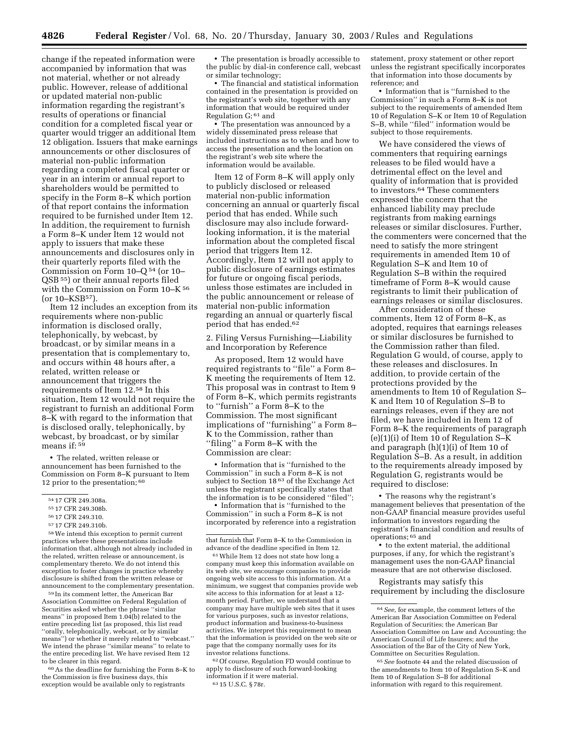change if the repeated information were accompanied by information that was not material, whether or not already public. However, release of additional or updated material non-public information regarding the registrant's results of operations or financial condition for a completed fiscal year or quarter would trigger an additional Item 12 obligation. Issuers that make earnings announcements or other disclosures of material non-public information regarding a completed fiscal quarter or year in an interim or annual report to shareholders would be permitted to specify in the Form 8–K which portion of that report contains the information required to be furnished under Item 12. In addition, the requirement to furnish a Form 8–K under Item 12 would not apply to issuers that make these announcements and disclosures only in their quarterly reports filed with the Commission on Form 10–Q 54 (or 10– QSB<sup>55</sup>) or their annual reports filed with the Commission on Form 10–K 56  $(or 10–KSB<sup>57</sup>).$ 

Item 12 includes an exception from its requirements where non-public information is disclosed orally, telephonically, by webcast, by broadcast, or by similar means in a presentation that is complementary to, and occurs within 48 hours after, a related, written release or announcement that triggers the requirements of Item 12.58 In this situation, Item 12 would not require the registrant to furnish an additional Form 8–K with regard to the information that is disclosed orally, telephonically, by webcast, by broadcast, or by similar means if: 59

• The related, written release or announcement has been furnished to the Commission on Form 8–K pursuant to Item 12 prior to the presentation; 60

59 In its comment letter, the American Bar Association Committee on Federal Regulation of Securities asked whether the phrase ''similar means'' in proposed Item 1.04(b) related to the entire preceding list (as proposed, this list read ''orally, telephonically, webcast, or by similar means'') or whether it merely related to ''webcast.'' We intend the phrase ''similar means'' to relate to the entire preceding list. We have revised Item 12 to be clearer in this regard.

60As the deadline for furnishing the Form 8–K to the Commission is five business days, this exception would be available only to registrants

• The presentation is broadly accessible to the public by dial-in conference call, webcast or similar technology;

• The financial and statistical information contained in the presentation is provided on the registrant's web site, together with any information that would be required under Regulation G; 61 and

• The presentation was announced by a widely disseminated press release that included instructions as to when and how to access the presentation and the location on the registrant's web site where the information would be available.

Item 12 of Form 8–K will apply only to publicly disclosed or released material non-public information concerning an annual or quarterly fiscal period that has ended. While such disclosure may also include forwardlooking information, it is the material information about the completed fiscal period that triggers Item 12. Accordingly, Item 12 will not apply to public disclosure of earnings estimates for future or ongoing fiscal periods, unless those estimates are included in the public announcement or release of material non-public information regarding an annual or quarterly fiscal period that has ended.62

2. Filing Versus Furnishing—Liability and Incorporation by Reference

As proposed, Item 12 would have required registrants to ''file'' a Form 8– K meeting the requirements of Item 12. This proposal was in contrast to Item 9 of Form 8–K, which permits registrants to ''furnish'' a Form 8–K to the Commission. The most significant implications of ''furnishing'' a Form 8– K to the Commission, rather than ''filing'' a Form 8–K with the Commission are clear:

• Information that is ''furnished to the Commission'' in such a Form 8–K is not subject to Section 18<sup>63</sup> of the Exchange Act unless the registrant specifically states that the information is to be considered ''filed'';

• Information that is ''furnished to the Commission'' in such a Form 8–K is not incorporated by reference into a registration

61While Item 12 does not state how long a company must keep this information available on its web site, we encourage companies to provide ongoing web site access to this information. At a minimum, we suggest that companies provide web site access to this information for at least a 12 month period. Further, we understand that a company may have multiple web sites that it uses for various purposes, such as investor relations, product information and business-to-business activities. We interpret this requirement to mean that the information is provided on the web site or page that the company normally uses for its investor relations functions.

62Of course, Regulation FD would continue to apply to disclosure of such forward-looking information if it were material. 63 15 U.S.C. § 78r.

statement, proxy statement or other report unless the registrant specifically incorporates that information into those documents by reference; and

• Information that is ''furnished to the Commission'' in such a Form 8–K is not subject to the requirements of amended Item 10 of Regulation S–K or Item 10 of Regulation S–B, while ''filed'' information would be subject to those requirements.

We have considered the views of commenters that requiring earnings releases to be filed would have a detrimental effect on the level and quality of information that is provided to investors.64 These commenters expressed the concern that the enhanced liability may preclude registrants from making earnings releases or similar disclosures. Further, the commenters were concerned that the need to satisfy the more stringent requirements in amended Item 10 of Regulation S–K and Item 10 of Regulation S–B within the required timeframe of Form 8–K would cause registrants to limit their publication of earnings releases or similar disclosures.

After consideration of these comments, Item 12 of Form 8–K, as adopted, requires that earnings releases or similar disclosures be furnished to the Commission rather than filed. Regulation G would, of course, apply to these releases and disclosures. In addition, to provide certain of the protections provided by the amendments to Item 10 of Regulation S– K and Item 10 of Regulation S–B to earnings releases, even if they are not filed, we have included in Item 12 of Form 8–K the requirements of paragraph (e)(1)(i) of Item 10 of Regulation S–K and paragraph (h)(1)(i) of Item 10 of Regulation S–B. As a result, in addition to the requirements already imposed by Regulation G, registrants would be required to disclose:

• The reasons why the registrant's management believes that presentation of the non-GAAP financial measure provides useful information to investors regarding the registrant's financial condition and results of operations; 65 and

• to the extent material, the additional purposes, if any, for which the registrant's management uses the non-GAAP financial measure that are not otherwise disclosed.

Registrants may satisfy this requirement by including the disclosure

<sup>54</sup> 17 CFR 249.308a.

<sup>55</sup> 17 CFR 249.308b.

<sup>56</sup> 17 CFR 249.310.

<sup>57</sup> 17 CFR 249.310b.

<sup>58</sup>We intend this exception to permit current practices where these presentations include information that, although not already included in the related, written release or announcement, is complementary thereto. We do not intend this exception to foster changes in practice whereby disclosure is shifted from the written release or announcement to the complementary presentation.

that furnish that Form 8–K to the Commission in advance of the deadline specified in Item 12.

<sup>64</sup>*See,* for example, the comment letters of the American Bar Association Committee on Federal Regulation of Securities; the American Bar Association Committee on Law and Accounting; the American Council of Life Insurers; and the Association of the Bar of the City of New York, Committee on Securities Regulation.

<sup>65</sup>*See* footnote 44 and the related discussion of the amendments to Item 10 of Regulation S–K and Item 10 of Regulation S–B for additional information with regard to this requirement.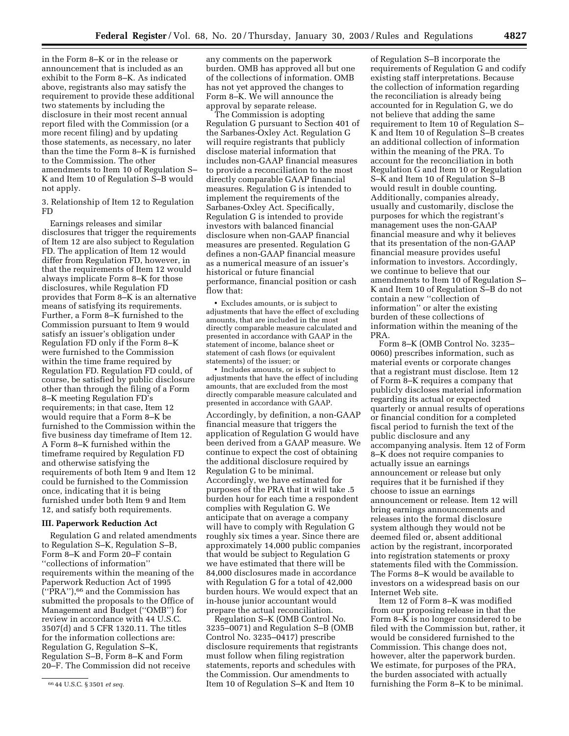in the Form 8–K or in the release or announcement that is included as an exhibit to the Form 8–K. As indicated above, registrants also may satisfy the requirement to provide these additional two statements by including the disclosure in their most recent annual report filed with the Commission (or a more recent filing) and by updating those statements, as necessary, no later than the time the Form 8–K is furnished to the Commission. The other amendments to Item 10 of Regulation S– K and Item 10 of Regulation S–B would not apply.

3. Relationship of Item 12 to Regulation FD

Earnings releases and similar disclosures that trigger the requirements of Item 12 are also subject to Regulation FD. The application of Item 12 would differ from Regulation FD, however, in that the requirements of Item 12 would always implicate Form 8–K for those disclosures, while Regulation FD provides that Form 8–K is an alternative means of satisfying its requirements. Further, a Form 8–K furnished to the Commission pursuant to Item 9 would satisfy an issuer's obligation under Regulation FD only if the Form 8–K were furnished to the Commission within the time frame required by Regulation FD. Regulation FD could, of course, be satisfied by public disclosure other than through the filing of a Form 8–K meeting Regulation FD's requirements; in that case, Item 12 would require that a Form 8–K be furnished to the Commission within the five business day timeframe of Item 12. A Form 8–K furnished within the timeframe required by Regulation FD and otherwise satisfying the requirements of both Item 9 and Item 12 could be furnished to the Commission once, indicating that it is being furnished under both Item 9 and Item 12, and satisfy both requirements.

#### **III. Paperwork Reduction Act**

Regulation G and related amendments to Regulation S–K, Regulation S–B, Form 8–K and Form 20–F contain ''collections of information'' requirements within the meaning of the Paperwork Reduction Act of 1995 (''PRA''),66 and the Commission has submitted the proposals to the Office of Management and Budget (''OMB'') for review in accordance with 44 U.S.C. 3507(d) and 5 CFR 1320.11. The titles for the information collections are: Regulation G, Regulation S–K, Regulation S–B, Form 8–K and Form 20–F. The Commission did not receive

any comments on the paperwork burden. OMB has approved all but one of the collections of information. OMB has not yet approved the changes to Form 8–K. We will announce the approval by separate release.

The Commission is adopting Regulation G pursuant to Section 401 of the Sarbanes-Oxley Act. Regulation G will require registrants that publicly disclose material information that includes non-GAAP financial measures to provide a reconciliation to the most directly comparable GAAP financial measures. Regulation G is intended to implement the requirements of the Sarbanes-Oxley Act. Specifically, Regulation G is intended to provide investors with balanced financial disclosure when non-GAAP financial measures are presented. Regulation G defines a non-GAAP financial measure as a numerical measure of an issuer's historical or future financial performance, financial position or cash flow that:

• Excludes amounts, or is subject to adjustments that have the effect of excluding amounts, that are included in the most directly comparable measure calculated and presented in accordance with GAAP in the statement of income, balance sheet or statement of cash flows (or equivalent statements) of the issuer; or

• Includes amounts, or is subject to adjustments that have the effect of including amounts, that are excluded from the most directly comparable measure calculated and presented in accordance with GAAP.

Accordingly, by definition, a non-GAAP financial measure that triggers the application of Regulation G would have been derived from a GAAP measure. We continue to expect the cost of obtaining the additional disclosure required by Regulation G to be minimal. Accordingly, we have estimated for purposes of the PRA that it will take .5 burden hour for each time a respondent complies with Regulation G. We anticipate that on average a company will have to comply with Regulation G roughly six times a year. Since there are approximately 14,000 public companies that would be subject to Regulation G we have estimated that there will be 84,000 disclosures made in accordance with Regulation G for a total of 42,000 burden hours. We would expect that an in-house junior accountant would prepare the actual reconciliation.

Regulation S–K (OMB Control No. 3235–0071) and Regulation S–B (OMB Control No. 3235–0417) prescribe disclosure requirements that registrants must follow when filing registration statements, reports and schedules with the Commission. Our amendments to Item 10 of Regulation S–K and Item 10

of Regulation S–B incorporate the requirements of Regulation G and codify existing staff interpretations. Because the collection of information regarding the reconciliation is already being accounted for in Regulation G, we do not believe that adding the same requirement to Item 10 of Regulation S– K and Item 10 of Regulation S–B creates an additional collection of information within the meaning of the PRA. To account for the reconciliation in both Regulation G and Item 10 or Regulation S–K and Item 10 of Regulation S–B would result in double counting. Additionally, companies already, usually and customarily, disclose the purposes for which the registrant's management uses the non-GAAP financial measure and why it believes that its presentation of the non-GAAP financial measure provides useful information to investors. Accordingly, we continue to believe that our amendments to Item 10 of Regulation S– K and Item 10 of Regulation S–B do not contain a new ''collection of information'' or alter the existing burden of these collections of information within the meaning of the PRA.

Form 8–K (OMB Control No. 3235– 0060) prescribes information, such as material events or corporate changes that a registrant must disclose. Item 12 of Form 8–K requires a company that publicly discloses material information regarding its actual or expected quarterly or annual results of operations or financial condition for a completed fiscal period to furnish the text of the public disclosure and any accompanying analysis. Item 12 of Form 8–K does not require companies to actually issue an earnings announcement or release but only requires that it be furnished if they choose to issue an earnings announcement or release. Item 12 will bring earnings announcements and releases into the formal disclosure system although they would not be deemed filed or, absent additional action by the registrant, incorporated into registration statements or proxy statements filed with the Commission. The Forms 8–K would be available to investors on a widespread basis on our Internet Web site.

Item 12 of Form 8–K was modified from our proposing release in that the Form 8–K is no longer considered to be filed with the Commission but, rather, it would be considered furnished to the Commission. This change does not, however, alter the paperwork burden. We estimate, for purposes of the PRA, the burden associated with actually furnishing the Form 8–K to be minimal.

<sup>66</sup> 44 U.S.C. § 3501 *et seq.*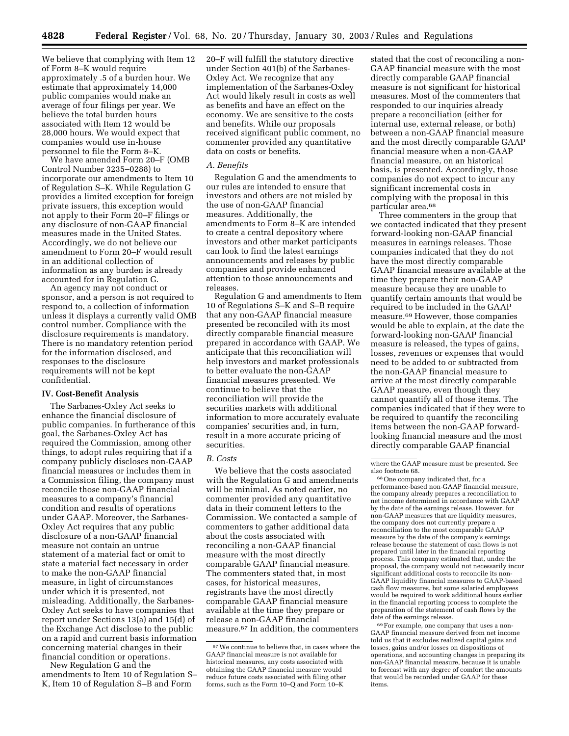We believe that complying with Item 12 of Form 8–K would require approximately .5 of a burden hour. We estimate that approximately 14,000 public companies would make an average of four filings per year. We believe the total burden hours associated with Item 12 would be 28,000 hours. We would expect that companies would use in-house personnel to file the Form 8–K.

We have amended Form 20–F (OMB Control Number 3235–0288) to incorporate our amendments to Item 10 of Regulation S–K. While Regulation G provides a limited exception for foreign private issuers, this exception would not apply to their Form 20–F filings or any disclosure of non-GAAP financial measures made in the United States. Accordingly, we do not believe our amendment to Form 20–F would result in an additional collection of information as any burden is already accounted for in Regulation G.

An agency may not conduct or sponsor, and a person is not required to respond to, a collection of information unless it displays a currently valid OMB control number. Compliance with the disclosure requirements is mandatory. There is no mandatory retention period for the information disclosed, and responses to the disclosure requirements will not be kept confidential.

#### **IV. Cost-Benefit Analysis**

The Sarbanes-Oxley Act seeks to enhance the financial disclosure of public companies. In furtherance of this goal, the Sarbanes-Oxley Act has required the Commission, among other things, to adopt rules requiring that if a company publicly discloses non-GAAP financial measures or includes them in a Commission filing, the company must reconcile those non-GAAP financial measures to a company's financial condition and results of operations under GAAP. Moreover, the Sarbanes-Oxley Act requires that any public disclosure of a non-GAAP financial measure not contain an untrue statement of a material fact or omit to state a material fact necessary in order to make the non-GAAP financial measure, in light of circumstances under which it is presented, not misleading. Additionally, the Sarbanes-Oxley Act seeks to have companies that report under Sections 13(a) and 15(d) of the Exchange Act disclose to the public on a rapid and current basis information concerning material changes in their financial condition or operations.

New Regulation G and the amendments to Item 10 of Regulation S– K, Item 10 of Regulation S–B and Form

20–F will fulfill the statutory directive under Section 401(b) of the Sarbanes-Oxley Act. We recognize that any implementation of the Sarbanes-Oxley Act would likely result in costs as well as benefits and have an effect on the economy. We are sensitive to the costs and benefits. While our proposals received significant public comment, no commenter provided any quantitative data on costs or benefits.

## *A. Benefits*

Regulation G and the amendments to our rules are intended to ensure that investors and others are not misled by the use of non-GAAP financial measures. Additionally, the amendments to Form 8–K are intended to create a central depository where investors and other market participants can look to find the latest earnings announcements and releases by public companies and provide enhanced attention to those announcements and releases.

Regulation G and amendments to Item 10 of Regulations S–K and S–B require that any non-GAAP financial measure presented be reconciled with its most directly comparable financial measure prepared in accordance with GAAP. We anticipate that this reconciliation will help investors and market professionals to better evaluate the non-GAAP financial measures presented. We continue to believe that the reconciliation will provide the securities markets with additional information to more accurately evaluate companies' securities and, in turn, result in a more accurate pricing of securities.

# *B. Costs*

We believe that the costs associated with the Regulation G and amendments will be minimal. As noted earlier, no commenter provided any quantitative data in their comment letters to the Commission. We contacted a sample of commenters to gather additional data about the costs associated with reconciling a non-GAAP financial measure with the most directly comparable GAAP financial measure. The commenters stated that, in most cases, for historical measures, registrants have the most directly comparable GAAP financial measure available at the time they prepare or release a non-GAAP financial measure.67 In addition, the commenters

stated that the cost of reconciling a non-GAAP financial measure with the most directly comparable GAAP financial measure is not significant for historical measures. Most of the commenters that responded to our inquiries already prepare a reconciliation (either for internal use, external release, or both) between a non-GAAP financial measure and the most directly comparable GAAP financial measure when a non-GAAP financial measure, on an historical basis, is presented. Accordingly, those companies do not expect to incur any significant incremental costs in complying with the proposal in this particular area.68

Three commenters in the group that we contacted indicated that they present forward-looking non-GAAP financial measures in earnings releases. Those companies indicated that they do not have the most directly comparable GAAP financial measure available at the time they prepare their non-GAAP measure because they are unable to quantify certain amounts that would be required to be included in the GAAP measure.69 However, those companies would be able to explain, at the date the forward-looking non-GAAP financial measure is released, the types of gains, losses, revenues or expenses that would need to be added to or subtracted from the non-GAAP financial measure to arrive at the most directly comparable GAAP measure, even though they cannot quantify all of those items. The companies indicated that if they were to be required to quantify the reconciling items between the non-GAAP forwardlooking financial measure and the most directly comparable GAAP financial

68One company indicated that, for a performance-based non-GAAP financial measure, the company already prepares a reconciliation to net income determined in accordance with GAAP by the date of the earnings release. However, for non-GAAP measures that are liquidity measures, the company does not currently prepare a reconciliation to the most comparable GAAP measure by the date of the company's earnings release because the statement of cash flows is not prepared until later in the financial reporting process. This company estimated that, under the proposal, the company would not necessarily incur significant additional costs to reconcile its non-GAAP liquidity financial measures to GAAP-based cash flow measures, but some salaried employees would be required to work additional hours earlier in the financial reporting process to complete the preparation of the statement of cash flows by the date of the earnings release.

69For example, one company that uses a non-GAAP financial measure derived from net income told us that it excludes realized capital gains and losses, gains and/or losses on dispositions of operations, and accounting changes in preparing its non-GAAP financial measure, because it is unable to forecast with any degree of comfort the amounts that would be recorded under GAAP for these items.

<sup>67</sup>We continue to believe that, in cases where the GAAP financial measure is not available for historical measures, any costs associated with obtaining the GAAP financial measure would reduce future costs associated with filing other forms, such as the Form 10–Q and Form 10–K

where the GAAP measure must be presented. See also footnote 68.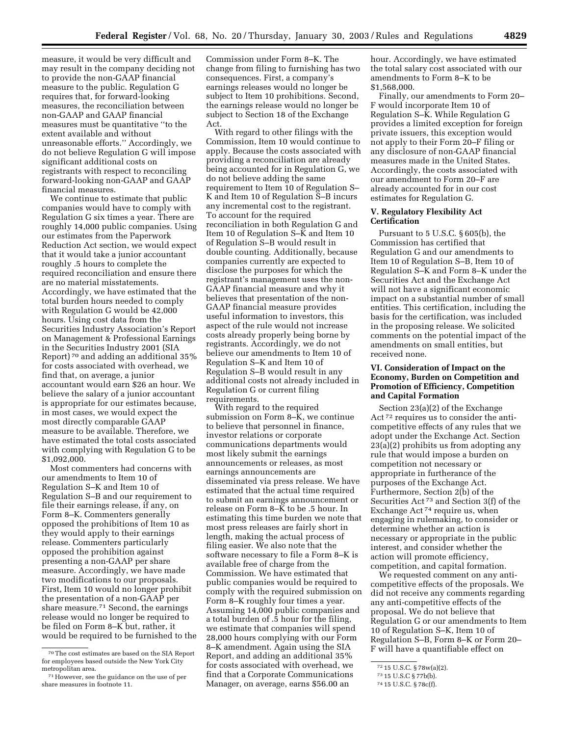measure, it would be very difficult and may result in the company deciding not to provide the non-GAAP financial measure to the public. Regulation G requires that, for forward-looking measures, the reconciliation between non-GAAP and GAAP financial measures must be quantitative ''to the extent available and without unreasonable efforts.'' Accordingly, we do not believe Regulation G will impose significant additional costs on registrants with respect to reconciling forward-looking non-GAAP and GAAP financial measures.

We continue to estimate that public companies would have to comply with Regulation G six times a year. There are roughly 14,000 public companies. Using our estimates from the Paperwork Reduction Act section, we would expect that it would take a junior accountant roughly .5 hours to complete the required reconciliation and ensure there are no material misstatements. Accordingly, we have estimated that the total burden hours needed to comply with Regulation G would be 42,000 hours. Using cost data from the Securities Industry Association's Report on Management & Professional Earnings in the Securities Industry 2001 (SIA Report) 70 and adding an additional 35% for costs associated with overhead, we find that, on average, a junior accountant would earn \$26 an hour. We believe the salary of a junior accountant is appropriate for our estimates because, in most cases, we would expect the most directly comparable GAAP measure to be available. Therefore, we have estimated the total costs associated with complying with Regulation G to be \$1,092,000.

Most commenters had concerns with our amendments to Item 10 of Regulation S–K and Item 10 of Regulation S–B and our requirement to file their earnings release, if any, on Form 8–K. Commenters generally opposed the prohibitions of Item 10 as they would apply to their earnings release. Commenters particularly opposed the prohibition against presenting a non-GAAP per share measure. Accordingly, we have made two modifications to our proposals. First, Item 10 would no longer prohibit the presentation of a non-GAAP per share measure.71 Second, the earnings release would no longer be required to be filed on Form 8–K but, rather, it would be required to be furnished to the Commission under Form 8–K. The change from filing to furnishing has two consequences. First, a company's earnings releases would no longer be subject to Item 10 prohibitions. Second, the earnings release would no longer be subject to Section 18 of the Exchange Act.

With regard to other filings with the Commission, Item 10 would continue to apply. Because the costs associated with providing a reconciliation are already being accounted for in Regulation G, we do not believe adding the same requirement to Item 10 of Regulation S– K and Item 10 of Regulation S–B incurs any incremental cost to the registrant. To account for the required reconciliation in both Regulation G and Item 10 of Regulation S–K and Item 10 of Regulation S–B would result in double counting. Additionally, because companies currently are expected to disclose the purposes for which the registrant's management uses the non-GAAP financial measure and why it believes that presentation of the non-GAAP financial measure provides useful information to investors, this aspect of the rule would not increase costs already properly being borne by registrants. Accordingly, we do not believe our amendments to Item 10 of Regulation S–K and Item 10 of Regulation S–B would result in any additional costs not already included in Regulation G or current filing requirements.

With regard to the required submission on Form 8–K, we continue to believe that personnel in finance, investor relations or corporate communications departments would most likely submit the earnings announcements or releases, as most earnings announcements are disseminated via press release. We have estimated that the actual time required to submit an earnings announcement or release on Form 8–K to be .5 hour. In estimating this time burden we note that most press releases are fairly short in length, making the actual process of filing easier. We also note that the software necessary to file a Form 8–K is available free of charge from the Commission. We have estimated that public companies would be required to comply with the required submission on Form 8–K roughly four times a year. Assuming 14,000 public companies and a total burden of .5 hour for the filing, we estimate that companies will spend 28,000 hours complying with our Form 8–K amendment. Again using the SIA Report, and adding an additional 35% for costs associated with overhead, we find that a Corporate Communications Manager, on average, earns \$56.00 an

hour. Accordingly, we have estimated the total salary cost associated with our amendments to Form 8–K to be \$1,568,000.

Finally, our amendments to Form 20– F would incorporate Item 10 of Regulation S–K. While Regulation G provides a limited exception for foreign private issuers, this exception would not apply to their Form 20–F filing or any disclosure of non-GAAP financial measures made in the United States. Accordingly, the costs associated with our amendment to Form 20–F are already accounted for in our cost estimates for Regulation G.

## **V. Regulatory Flexibility Act Certification**

Pursuant to 5 U.S.C. § 605(b), the Commission has certified that Regulation G and our amendments to Item 10 of Regulation S–B, Item 10 of Regulation S–K and Form 8–K under the Securities Act and the Exchange Act will not have a significant economic impact on a substantial number of small entities. This certification, including the basis for the certification, was included in the proposing release. We solicited comments on the potential impact of the amendments on small entities, but received none.

# **VI. Consideration of Impact on the Economy, Burden on Competition and Promotion of Efficiency, Competition and Capital Formation**

Section 23(a)(2) of the Exchange Act 72 requires us to consider the anticompetitive effects of any rules that we adopt under the Exchange Act. Section 23(a)(2) prohibits us from adopting any rule that would impose a burden on competition not necessary or appropriate in furtherance of the purposes of the Exchange Act. Furthermore, Section 2(b) of the Securities Act 73 and Section 3(f) of the Exchange Act 74 require us, when engaging in rulemaking, to consider or determine whether an action is necessary or appropriate in the public interest, and consider whether the action will promote efficiency, competition, and capital formation.

We requested comment on any anticompetitive effects of the proposals. We did not receive any comments regarding any anti-competitive effects of the proposal. We do not believe that Regulation G or our amendments to Item 10 of Regulation S–K, Item 10 of Regulation S–B, Form 8–K or Form 20– F will have a quantifiable effect on

<sup>70</sup>The cost estimates are based on the SIA Report for employees based outside the New York City metropolitan area.

<sup>71</sup>However, see the guidance on the use of per share measures in footnote 11.

<sup>72</sup> 15 U.S.C. § 78w(a)(2).

<sup>73</sup> 15 U.S.C § 77b(b).

<sup>74</sup> 15 U.S.C. § 78c(f).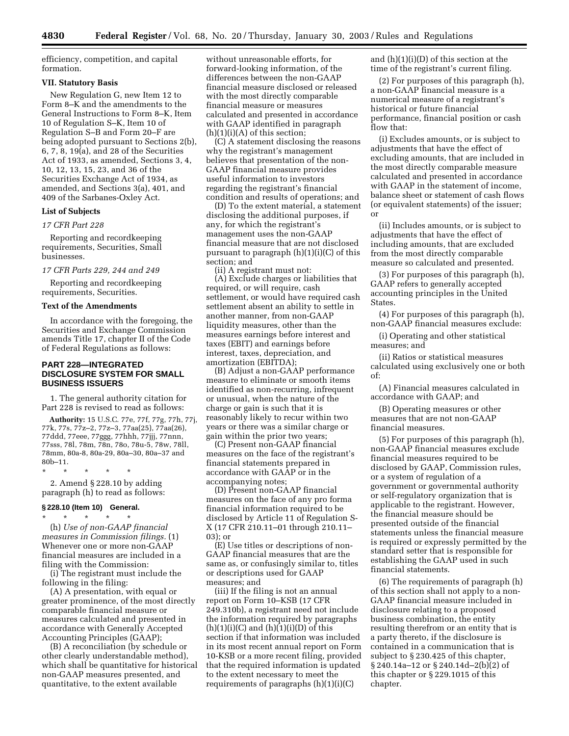efficiency, competition, and capital formation.

# **VII. Statutory Basis**

New Regulation G, new Item 12 to Form 8–K and the amendments to the General Instructions to Form 8–K, Item 10 of Regulation S–K, Item 10 of Regulation S–B and Form 20–F are being adopted pursuant to Sections 2(b), 6, 7, 8, 19(a), and 28 of the Securities Act of 1933, as amended, Sections 3, 4, 10, 12, 13, 15, 23, and 36 of the Securities Exchange Act of 1934, as amended, and Sections 3(a), 401, and 409 of the Sarbanes-Oxley Act.

# **List of Subjects**

# *17 CFR Part 228*

Reporting and recordkeeping requirements, Securities, Small businesses.

# *17 CFR Parts 229, 244 and 249*

Reporting and recordkeeping requirements, Securities.

# **Text of the Amendments**

In accordance with the foregoing, the Securities and Exchange Commission amends Title 17, chapter II of the Code of Federal Regulations as follows:

# **PART 228—INTEGRATED DISCLOSURE SYSTEM FOR SMALL BUSINESS ISSUERS**

1. The general authority citation for Part 228 is revised to read as follows:

**Authority:** 15 U.S.C. 77e, 77f, 77g, 77h, 77j, 77k, 77s, 77z–2, 77z–3, 77aa(25), 77aa(26), 77ddd, 77eee, 77ggg, 77hhh, 77jjj, 77nnn, 77sss, 78l, 78m, 78n, 78o, 78u-5, 78w, 78ll, 78mm, 80a-8, 80a-29, 80a–30, 80a–37 and 80b–11.

\* \* \* \* \* 2. Amend § 228.10 by adding paragraph (h) to read as follows:

# **§ 228.10 (Item 10) General.**

\* \* \* \* \* (h) *Use of non-GAAP financial measures in Commission filings.* (1) Whenever one or more non-GAAP financial measures are included in a filing with the Commission:

(i) The registrant must include the following in the filing:

(A) A presentation, with equal or greater prominence, of the most directly comparable financial measure or measures calculated and presented in accordance with Generally Accepted Accounting Principles (GAAP);

(B) A reconciliation (by schedule or other clearly understandable method), which shall be quantitative for historical non-GAAP measures presented, and quantitative, to the extent available

without unreasonable efforts, for forward-looking information, of the differences between the non-GAAP financial measure disclosed or released with the most directly comparable financial measure or measures calculated and presented in accordance with GAAP identified in paragraph  $(h)(1)(i)(A)$  of this section;

(C) A statement disclosing the reasons why the registrant's management believes that presentation of the non-GAAP financial measure provides useful information to investors regarding the registrant's financial condition and results of operations; and

(D) To the extent material, a statement disclosing the additional purposes, if any, for which the registrant's management uses the non-GAAP financial measure that are not disclosed pursuant to paragraph  $(h)(1)(i)(C)$  of this section; and

(ii) A registrant must not:

(A) Exclude charges or liabilities that required, or will require, cash settlement, or would have required cash settlement absent an ability to settle in another manner, from non-GAAP liquidity measures, other than the measures earnings before interest and taxes (EBIT) and earnings before interest, taxes, depreciation, and amortization (EBITDA);

(B) Adjust a non-GAAP performance measure to eliminate or smooth items identified as non-recurring, infrequent or unusual, when the nature of the charge or gain is such that it is reasonably likely to recur within two years or there was a similar charge or gain within the prior two years;

(C) Present non-GAAP financial measures on the face of the registrant's financial statements prepared in accordance with GAAP or in the accompanying notes;

(D) Present non-GAAP financial measures on the face of any pro forma financial information required to be disclosed by Article 11 of Regulation S-X (17 CFR 210.11–01 through 210.11– 03); or

(E) Use titles or descriptions of non-GAAP financial measures that are the same as, or confusingly similar to, titles or descriptions used for GAAP measures; and

(iii) If the filing is not an annual report on Form 10–KSB (17 CFR 249.310b), a registrant need not include the information required by paragraphs  $(h)(1)(i)(C)$  and  $(h)(1)(i)(D)$  of this section if that information was included in its most recent annual report on Form 10-KSB or a more recent filing, provided that the required information is updated to the extent necessary to meet the requirements of paragraphs (h)(1)(i)(C)

and (h)(1)(i)(D) of this section at the time of the registrant's current filing.

(2) For purposes of this paragraph (h), a non-GAAP financial measure is a numerical measure of a registrant's historical or future financial performance, financial position or cash flow that:

(i) Excludes amounts, or is subject to adjustments that have the effect of excluding amounts, that are included in the most directly comparable measure calculated and presented in accordance with GAAP in the statement of income, balance sheet or statement of cash flows (or equivalent statements) of the issuer; or

(ii) Includes amounts, or is subject to adjustments that have the effect of including amounts, that are excluded from the most directly comparable measure so calculated and presented.

(3) For purposes of this paragraph (h), GAAP refers to generally accepted accounting principles in the United **States** 

(4) For purposes of this paragraph (h), non-GAAP financial measures exclude:

(i) Operating and other statistical measures; and

(ii) Ratios or statistical measures calculated using exclusively one or both of:

(A) Financial measures calculated in accordance with GAAP; and

(B) Operating measures or other measures that are not non-GAAP financial measures.

(5) For purposes of this paragraph (h), non-GAAP financial measures exclude financial measures required to be disclosed by GAAP, Commission rules, or a system of regulation of a government or governmental authority or self-regulatory organization that is applicable to the registrant. However, the financial measure should be presented outside of the financial statements unless the financial measure is required or expressly permitted by the standard setter that is responsible for establishing the GAAP used in such financial statements.

(6) The requirements of paragraph (h) of this section shall not apply to a non-GAAP financial measure included in disclosure relating to a proposed business combination, the entity resulting therefrom or an entity that is a party thereto, if the disclosure is contained in a communication that is subject to § 230.425 of this chapter, § 240.14a–12 or § 240.14d–2(b)(2) of this chapter or § 229.1015 of this chapter.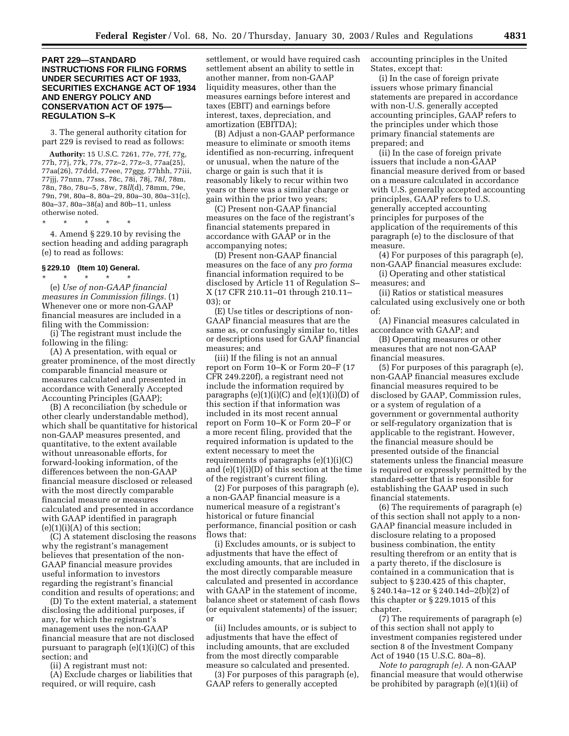# **PART 229—STANDARD INSTRUCTIONS FOR FILING FORMS UNDER SECURITIES ACT OF 1933, SECURITIES EXCHANGE ACT OF 1934 AND ENERGY POLICY AND CONSERVATION ACT OF 1975— REGULATION S–K**

3. The general authority citation for part 229 is revised to read as follows:

**Authority:** 15 U.S.C. 7261, 77e, 77f, 77g, 77h, 77j, 77k, 77s, 77z–2, 77z–3, 77aa(25), 77aa(26), 77ddd, 77eee, 77ggg, 77hhh, 77iii, 77jjj, 77nnn, 77sss, 78c, 78i, 78j, 78*l,* 78m, 78n, 78o, 78u–5, 78w, 78*ll*(d), 78mm, 79e, 79n, 79t, 80a–8, 80a–29, 80a–30, 80a–31(c), 80a–37, 80a–38(a) and 80b–11, unless otherwise noted.

\* \* \* \* \*

4. Amend § 229.10 by revising the section heading and adding paragraph (e) to read as follows:

# **§ 229.10 (Item 10) General.** \* \* \* \* \*

(e) *Use of non-GAAP financial measures in Commission filings.* (1) Whenever one or more non-GAAP financial measures are included in a filing with the Commission:

(i) The registrant must include the following in the filing:

(A) A presentation, with equal or greater prominence, of the most directly comparable financial measure or measures calculated and presented in accordance with Generally Accepted Accounting Principles (GAAP);

(B) A reconciliation (by schedule or other clearly understandable method), which shall be quantitative for historical non-GAAP measures presented, and quantitative, to the extent available without unreasonable efforts, for forward-looking information, of the differences between the non-GAAP financial measure disclosed or released with the most directly comparable financial measure or measures calculated and presented in accordance with GAAP identified in paragraph  $(e)(1)(i)(A)$  of this section;

(C) A statement disclosing the reasons why the registrant's management believes that presentation of the non-GAAP financial measure provides useful information to investors regarding the registrant's financial condition and results of operations; and

(D) To the extent material, a statement disclosing the additional purposes, if any, for which the registrant's management uses the non-GAAP financial measure that are not disclosed pursuant to paragraph  $(e)(1)(i)(C)$  of this section; and

(ii) A registrant must not:

(A) Exclude charges or liabilities that required, or will require, cash

settlement, or would have required cash settlement absent an ability to settle in another manner, from non-GAAP liquidity measures, other than the measures earnings before interest and taxes (EBIT) and earnings before interest, taxes, depreciation, and amortization (EBITDA);

(B) Adjust a non-GAAP performance measure to eliminate or smooth items identified as non-recurring, infrequent or unusual, when the nature of the charge or gain is such that it is reasonably likely to recur within two years or there was a similar charge or gain within the prior two years;

(C) Present non-GAAP financial measures on the face of the registrant's financial statements prepared in accordance with GAAP or in the accompanying notes;

(D) Present non-GAAP financial measures on the face of any *pro forma* financial information required to be disclosed by Article 11 of Regulation S– X (17 CFR 210.11–01 through 210.11– 03); or

(E) Use titles or descriptions of non-GAAP financial measures that are the same as, or confusingly similar to, titles or descriptions used for GAAP financial measures; and

(iii) If the filing is not an annual report on Form 10–K or Form 20–F (17 CFR 249.220f), a registrant need not include the information required by paragraphs  $(e)(1)(i)(C)$  and  $(e)(1)(i)(D)$  of this section if that information was included in its most recent annual report on Form 10–K or Form 20–F or a more recent filing, provided that the required information is updated to the extent necessary to meet the requirements of paragraphs (e)(1)(i)(C) and (e)(1)(i)(D) of this section at the time of the registrant's current filing.

(2) For purposes of this paragraph (e), a non-GAAP financial measure is a numerical measure of a registrant's historical or future financial performance, financial position or cash flows that:

(i) Excludes amounts, or is subject to adjustments that have the effect of excluding amounts, that are included in the most directly comparable measure calculated and presented in accordance with GAAP in the statement of income, balance sheet or statement of cash flows (or equivalent statements) of the issuer; or

(ii) Includes amounts, or is subject to adjustments that have the effect of including amounts, that are excluded from the most directly comparable measure so calculated and presented.

(3) For purposes of this paragraph (e), GAAP refers to generally accepted

accounting principles in the United States, except that:

(i) In the case of foreign private issuers whose primary financial statements are prepared in accordance with non-U.S. generally accepted accounting principles, GAAP refers to the principles under which those primary financial statements are prepared; and

(ii) In the case of foreign private issuers that include a non-GAAP financial measure derived from or based on a measure calculated in accordance with U.S. generally accepted accounting principles, GAAP refers to U.S. generally accepted accounting principles for purposes of the application of the requirements of this paragraph (e) to the disclosure of that measure.

(4) For purposes of this paragraph (e), non-GAAP financial measures exclude:

(i) Operating and other statistical measures; and

(ii) Ratios or statistical measures calculated using exclusively one or both of:

(A) Financial measures calculated in accordance with GAAP; and

(B) Operating measures or other measures that are not non-GAAP financial measures.

(5) For purposes of this paragraph (e), non-GAAP financial measures exclude financial measures required to be disclosed by GAAP, Commission rules, or a system of regulation of a government or governmental authority or self-regulatory organization that is applicable to the registrant. However, the financial measure should be presented outside of the financial statements unless the financial measure is required or expressly permitted by the standard-setter that is responsible for establishing the GAAP used in such financial statements.

(6) The requirements of paragraph (e) of this section shall not apply to a non-GAAP financial measure included in disclosure relating to a proposed business combination, the entity resulting therefrom or an entity that is a party thereto, if the disclosure is contained in a communication that is subject to § 230.425 of this chapter, § 240.14a–12 or § 240.14d–2(b)(2) of this chapter or § 229.1015 of this chapter.

(7) The requirements of paragraph (e) of this section shall not apply to investment companies registered under section 8 of the Investment Company Act of 1940 (15 U.S.C. 80a–8).

*Note to paragraph (e).* A non-GAAP financial measure that would otherwise be prohibited by paragraph (e)(1)(ii) of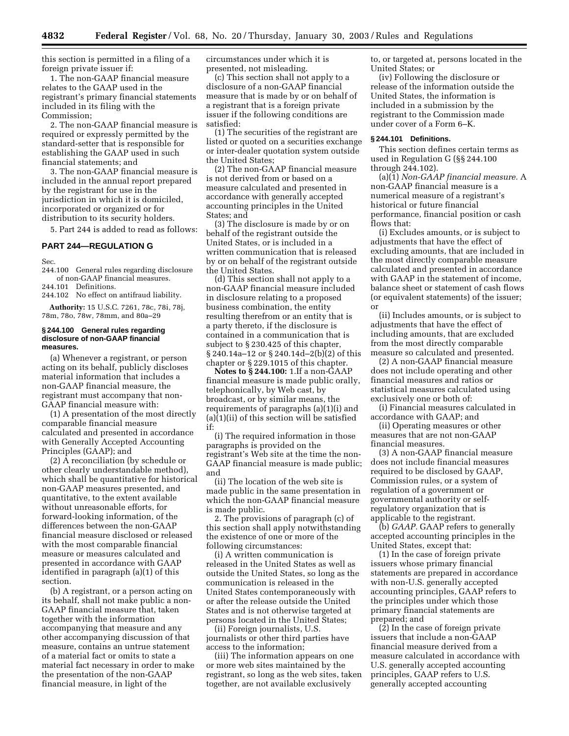this section is permitted in a filing of a foreign private issuer if:

1. The non-GAAP financial measure relates to the GAAP used in the registrant's primary financial statements included in its filing with the Commission;

2. The non-GAAP financial measure is required or expressly permitted by the standard-setter that is responsible for establishing the GAAP used in such financial statements; and

3. The non-GAAP financial measure is included in the annual report prepared by the registrant for use in the jurisdiction in which it is domiciled, incorporated or organized or for distribution to its security holders.

5. Part 244 is added to read as follows:

#### **PART 244—REGULATION G**

Sec.

244.100 General rules regarding disclosure of non-GAAP financial measures. 244.101 Definitions.

244.102 No effect on antifraud liability.

**Authority:** 15 U.S.C. 7261, 78c, 78i, 78j, 78m, 78o, 78w, 78mm, and 80a–29

#### **§ 244.100 General rules regarding disclosure of non-GAAP financial measures.**

(a) Whenever a registrant, or person acting on its behalf, publicly discloses material information that includes a non-GAAP financial measure, the registrant must accompany that non-GAAP financial measure with:

(1) A presentation of the most directly comparable financial measure calculated and presented in accordance with Generally Accepted Accounting Principles (GAAP); and

(2) A reconciliation (by schedule or other clearly understandable method), which shall be quantitative for historical non-GAAP measures presented, and quantitative, to the extent available without unreasonable efforts, for forward-looking information, of the differences between the non-GAAP financial measure disclosed or released with the most comparable financial measure or measures calculated and presented in accordance with GAAP identified in paragraph (a)(1) of this section.

(b) A registrant, or a person acting on its behalf, shall not make public a non-GAAP financial measure that, taken together with the information accompanying that measure and any other accompanying discussion of that measure, contains an untrue statement of a material fact or omits to state a material fact necessary in order to make the presentation of the non-GAAP financial measure, in light of the

circumstances under which it is presented, not misleading.

(c) This section shall not apply to a disclosure of a non-GAAP financial measure that is made by or on behalf of a registrant that is a foreign private issuer if the following conditions are satisfied:

(1) The securities of the registrant are listed or quoted on a securities exchange or inter-dealer quotation system outside the United States;

(2) The non-GAAP financial measure is not derived from or based on a measure calculated and presented in accordance with generally accepted accounting principles in the United States; and

(3) The disclosure is made by or on behalf of the registrant outside the United States, or is included in a written communication that is released by or on behalf of the registrant outside the United States.

(d) This section shall not apply to a non-GAAP financial measure included in disclosure relating to a proposed business combination, the entity resulting therefrom or an entity that is a party thereto, if the disclosure is contained in a communication that is subject to § 230.425 of this chapter, § 240.14a–12 or § 240.14d–2(b)(2) of this chapter or § 229.1015 of this chapter.

**Notes to § 244.100:** 1.If a non-GAAP financial measure is made public orally, telephonically, by Web cast, by broadcast, or by similar means, the requirements of paragraphs (a)(1)(i) and  $(a)(i)(ii)$  of this section will be satisfied if:

(i) The required information in those paragraphs is provided on the registrant's Web site at the time the non-GAAP financial measure is made public; and

(ii) The location of the web site is made public in the same presentation in which the non-GAAP financial measure is made public.

2. The provisions of paragraph (c) of this section shall apply notwithstanding the existence of one or more of the following circumstances:

(i) A written communication is released in the United States as well as outside the United States, so long as the communication is released in the United States contemporaneously with or after the release outside the United States and is not otherwise targeted at persons located in the United States;

(ii) Foreign journalists, U.S. journalists or other third parties have access to the information;

(iii) The information appears on one or more web sites maintained by the registrant, so long as the web sites, taken together, are not available exclusively

to, or targeted at, persons located in the United States; or

(iv) Following the disclosure or release of the information outside the United States, the information is included in a submission by the registrant to the Commission made under cover of a Form 6–K.

# **§ 244.101 Definitions.**

This section defines certain terms as used in Regulation G (§§ 244.100 through 244.102).

(a)(1) *Non-GAAP financial measure.* A non-GAAP financial measure is a numerical measure of a registrant's historical or future financial performance, financial position or cash flows that:

(i) Excludes amounts, or is subject to adjustments that have the effect of excluding amounts, that are included in the most directly comparable measure calculated and presented in accordance with GAAP in the statement of income, balance sheet or statement of cash flows (or equivalent statements) of the issuer; or

(ii) Includes amounts, or is subject to adjustments that have the effect of including amounts, that are excluded from the most directly comparable measure so calculated and presented.

(2) A non-GAAP financial measure does not include operating and other financial measures and ratios or statistical measures calculated using exclusively one or both of:

(i) Financial measures calculated in accordance with GAAP; and

(ii) Operating measures or other measures that are not non-GAAP financial measures.

(3) A non-GAAP financial measure does not include financial measures required to be disclosed by GAAP, Commission rules, or a system of regulation of a government or governmental authority or selfregulatory organization that is applicable to the registrant.

(b) *GAAP.* GAAP refers to generally accepted accounting principles in the United States, except that:

(1) In the case of foreign private issuers whose primary financial statements are prepared in accordance with non-U.S. generally accepted accounting principles, GAAP refers to the principles under which those primary financial statements are prepared; and

(2) In the case of foreign private issuers that include a non-GAAP financial measure derived from a measure calculated in accordance with U.S. generally accepted accounting principles, GAAP refers to U.S. generally accepted accounting